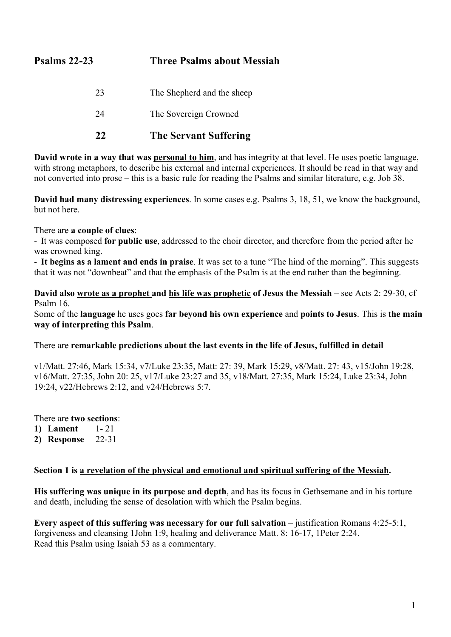# **Psalms 22-23 Three Psalms about Messiah**

- 23 The Shepherd and the sheep
- 24 The Sovereign Crowned

## **22 The Servant Suffering**

**David wrote in a way that was personal to him**, and has integrity at that level. He uses poetic language, with strong metaphors, to describe his external and internal experiences. It should be read in that way and not converted into prose – this is a basic rule for reading the Psalms and similar literature, e.g. Job 38.

**David had many distressing experiences**. In some cases e.g. Psalms 3, 18, 51, we know the background, but not here.

There are **a couple of clues**:

- It was composed **for public use**, addressed to the choir director, and therefore from the period after he was crowned king.

- **It begins as a lament and ends in praise**. It was set to a tune "The hind of the morning". This suggests that it was not "downbeat" and that the emphasis of the Psalm is at the end rather than the beginning.

**David also wrote as a prophet and his life was prophetic of Jesus the Messiah –** see Acts 2: 29-30, cf Psalm 16.

Some of the **language** he uses goes **far beyond his own experience** and **points to Jesus**. This is **the main way of interpreting this Psalm**.

There are **remarkable predictions about the last events in the life of Jesus, fulfilled in detail**

v1/Matt. 27:46, Mark 15:34, v7/Luke 23:35, Matt: 27: 39, Mark 15:29, v8/Matt. 27: 43, v15/John 19:28, v16/Matt. 27:35, John 20: 25, v17/Luke 23:27 and 35, v18/Matt. 27:35, Mark 15:24, Luke 23:34, John 19:24, v22/Hebrews 2:12, and v24/Hebrews 5:7.

There are **two sections**:

- **1) Lament** 1- 21
- **2) Response** 22-31

### **Section 1 is a revelation of the physical and emotional and spiritual suffering of the Messiah.**

**His suffering was unique in its purpose and depth**, and has its focus in Gethsemane and in his torture and death, including the sense of desolation with which the Psalm begins.

**Every aspect of this suffering was necessary for our full salvation** – justification Romans 4:25-5:1, forgiveness and cleansing 1John 1:9, healing and deliverance Matt. 8: 16-17, 1Peter 2:24. Read this Psalm using Isaiah 53 as a commentary.